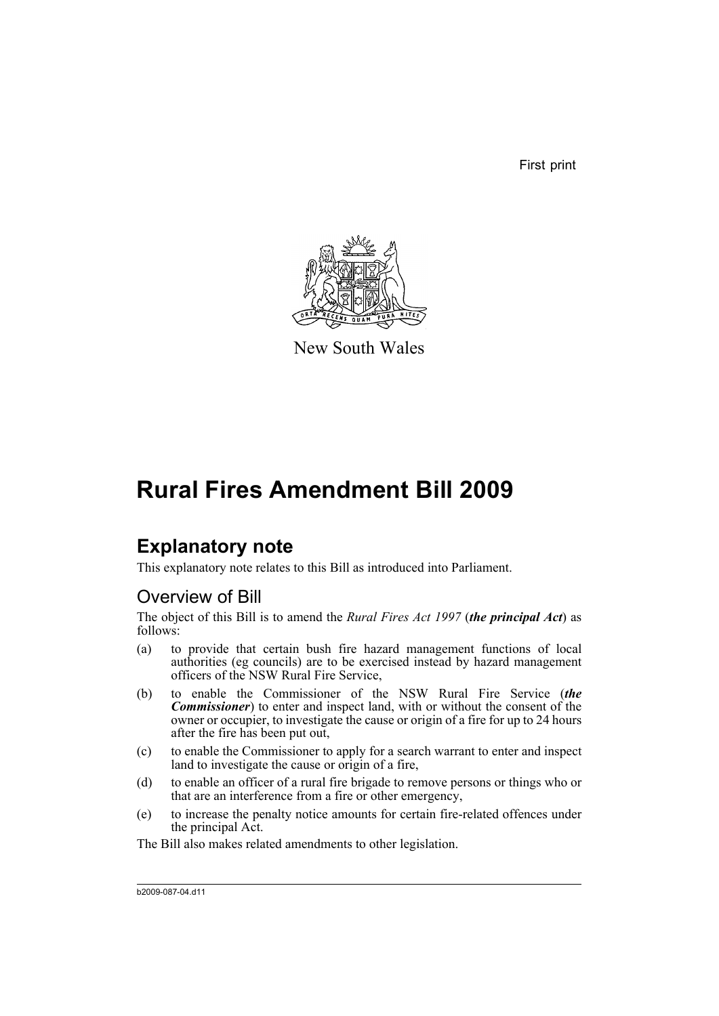First print



New South Wales

# **Rural Fires Amendment Bill 2009**

# **Explanatory note**

This explanatory note relates to this Bill as introduced into Parliament.

## Overview of Bill

The object of this Bill is to amend the *Rural Fires Act 1997* (*the principal Act*) as follows:

- (a) to provide that certain bush fire hazard management functions of local authorities (eg councils) are to be exercised instead by hazard management officers of the NSW Rural Fire Service,
- (b) to enable the Commissioner of the NSW Rural Fire Service (*the Commissioner*) to enter and inspect land, with or without the consent of the owner or occupier, to investigate the cause or origin of a fire for up to 24 hours after the fire has been put out,
- (c) to enable the Commissioner to apply for a search warrant to enter and inspect land to investigate the cause or origin of a fire,
- (d) to enable an officer of a rural fire brigade to remove persons or things who or that are an interference from a fire or other emergency,
- (e) to increase the penalty notice amounts for certain fire-related offences under the principal Act.

The Bill also makes related amendments to other legislation.

b2009-087-04.d11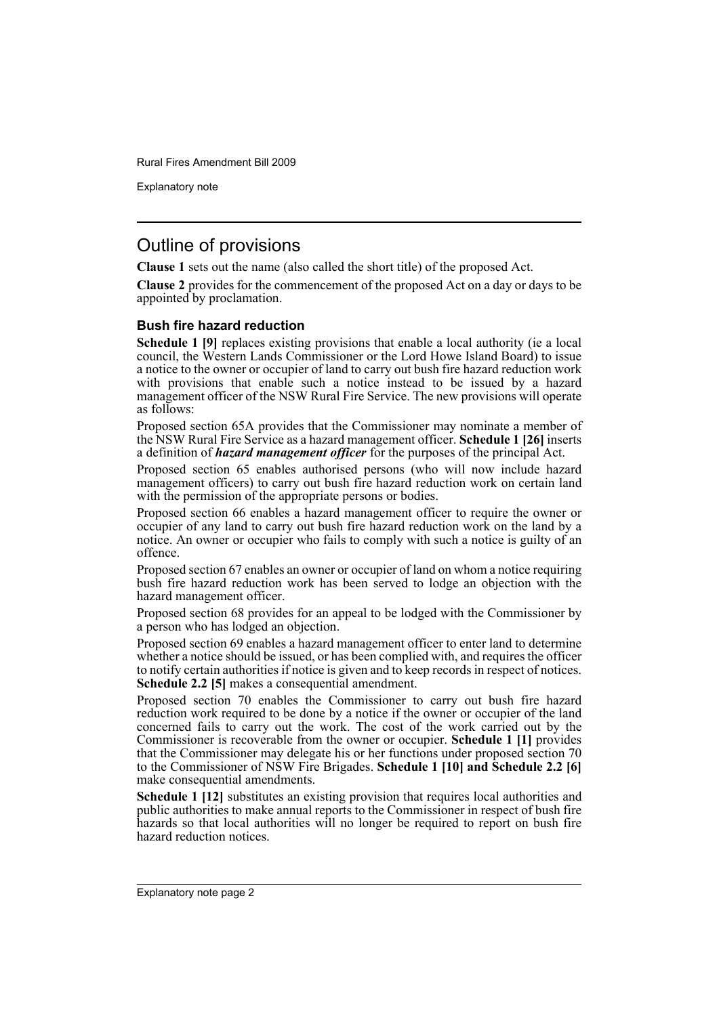Explanatory note

## Outline of provisions

**Clause 1** sets out the name (also called the short title) of the proposed Act.

**Clause 2** provides for the commencement of the proposed Act on a day or days to be appointed by proclamation.

### **Bush fire hazard reduction**

**Schedule 1 [9]** replaces existing provisions that enable a local authority (ie a local council, the Western Lands Commissioner or the Lord Howe Island Board) to issue a notice to the owner or occupier of land to carry out bush fire hazard reduction work with provisions that enable such a notice instead to be issued by a hazard management officer of the NSW Rural Fire Service. The new provisions will operate as follows:

Proposed section 65A provides that the Commissioner may nominate a member of the NSW Rural Fire Service as a hazard management officer. **Schedule 1 [26]** inserts a definition of *hazard management officer* for the purposes of the principal Act.

Proposed section 65 enables authorised persons (who will now include hazard management officers) to carry out bush fire hazard reduction work on certain land with the permission of the appropriate persons or bodies.

Proposed section 66 enables a hazard management officer to require the owner or occupier of any land to carry out bush fire hazard reduction work on the land by a notice. An owner or occupier who fails to comply with such a notice is guilty of an offence.

Proposed section 67 enables an owner or occupier of land on whom a notice requiring bush fire hazard reduction work has been served to lodge an objection with the hazard management officer.

Proposed section 68 provides for an appeal to be lodged with the Commissioner by a person who has lodged an objection.

Proposed section 69 enables a hazard management officer to enter land to determine whether a notice should be issued, or has been complied with, and requires the officer to notify certain authorities if notice is given and to keep records in respect of notices. **Schedule 2.2 [5]** makes a consequential amendment.

Proposed section 70 enables the Commissioner to carry out bush fire hazard reduction work required to be done by a notice if the owner or occupier of the land concerned fails to carry out the work. The cost of the work carried out by the Commissioner is recoverable from the owner or occupier. **Schedule 1 [1]** provides that the Commissioner may delegate his or her functions under proposed section 70 to the Commissioner of NSW Fire Brigades. **Schedule 1 [10] and Schedule 2.2 [6]** make consequential amendments.

**Schedule 1 [12]** substitutes an existing provision that requires local authorities and public authorities to make annual reports to the Commissioner in respect of bush fire hazards so that local authorities will no longer be required to report on bush fire hazard reduction notices.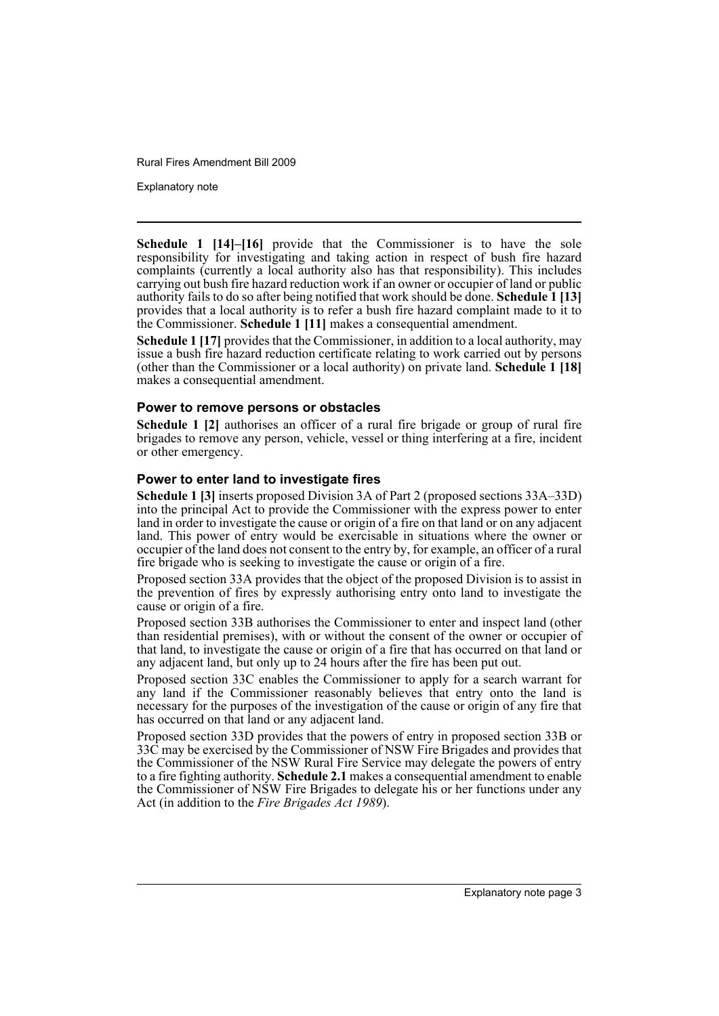Explanatory note

**Schedule 1 [14]–[16]** provide that the Commissioner is to have the sole responsibility for investigating and taking action in respect of bush fire hazard complaints (currently a local authority also has that responsibility). This includes carrying out bush fire hazard reduction work if an owner or occupier of land or public authority fails to do so after being notified that work should be done. **Schedule 1 [13]** provides that a local authority is to refer a bush fire hazard complaint made to it to the Commissioner. **Schedule 1 [11]** makes a consequential amendment.

Schedule 1 [17] provides that the Commissioner, in addition to a local authority, may issue a bush fire hazard reduction certificate relating to work carried out by persons (other than the Commissioner or a local authority) on private land. **Schedule 1 [18]** makes a consequential amendment.

#### **Power to remove persons or obstacles**

**Schedule 1 [2]** authorises an officer of a rural fire brigade or group of rural fire brigades to remove any person, vehicle, vessel or thing interfering at a fire, incident or other emergency.

#### **Power to enter land to investigate fires**

**Schedule 1 [3]** inserts proposed Division 3A of Part 2 (proposed sections 33A–33D) into the principal Act to provide the Commissioner with the express power to enter land in order to investigate the cause or origin of a fire on that land or on any adjacent land. This power of entry would be exercisable in situations where the owner or occupier of the land does not consent to the entry by, for example, an officer of a rural fire brigade who is seeking to investigate the cause or origin of a fire.

Proposed section 33A provides that the object of the proposed Division is to assist in the prevention of fires by expressly authorising entry onto land to investigate the cause or origin of a fire.

Proposed section 33B authorises the Commissioner to enter and inspect land (other than residential premises), with or without the consent of the owner or occupier of that land, to investigate the cause or origin of a fire that has occurred on that land or any adjacent land, but only up to 24 hours after the fire has been put out.

Proposed section 33C enables the Commissioner to apply for a search warrant for any land if the Commissioner reasonably believes that entry onto the land is necessary for the purposes of the investigation of the cause or origin of any fire that has occurred on that land or any adjacent land.

Proposed section 33D provides that the powers of entry in proposed section 33B or 33C may be exercised by the Commissioner of NSW Fire Brigades and provides that the Commissioner of the NSW Rural Fire Service may delegate the powers of entry to a fire fighting authority. **Schedule 2.1** makes a consequential amendment to enable the Commissioner of NSW Fire Brigades to delegate his or her functions under any Act (in addition to the *Fire Brigades Act 1989*).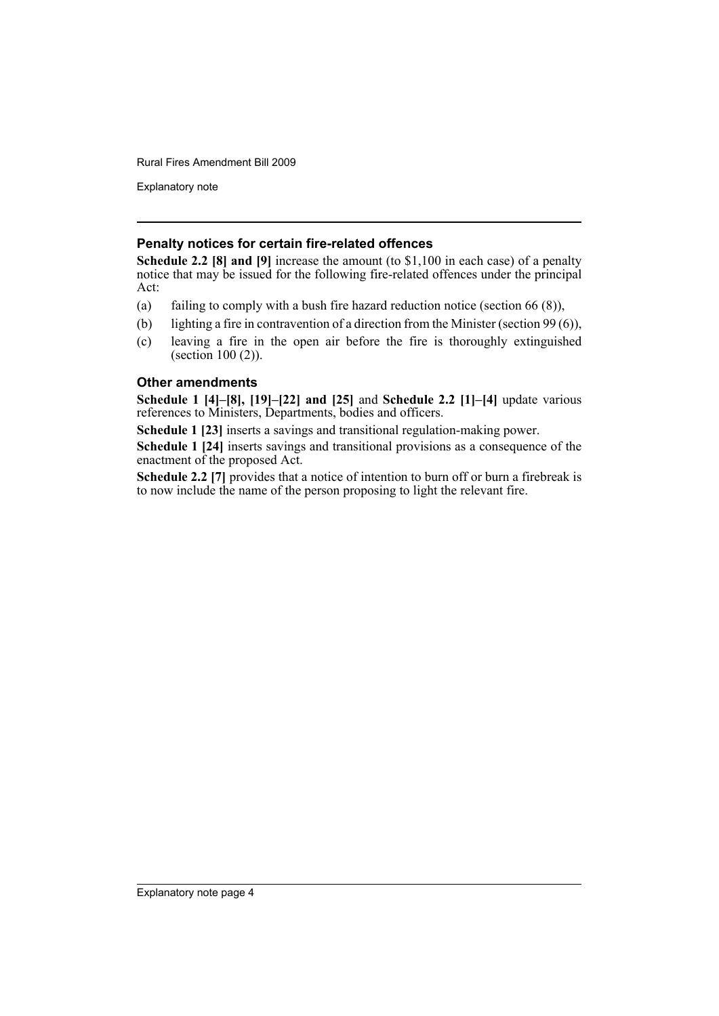Explanatory note

### **Penalty notices for certain fire-related offences**

**Schedule 2.2 [8] and [9]** increase the amount (to \$1,100 in each case) of a penalty notice that may be issued for the following fire-related offences under the principal Act:

- (a) failing to comply with a bush fire hazard reduction notice (section  $66 (8)$ ),
- (b) lighting a fire in contravention of a direction from the Minister (section 99 (6)),
- (c) leaving a fire in the open air before the fire is thoroughly extinguished (section 100 (2)).

### **Other amendments**

**Schedule 1 [4]–[8], [19]–[22] and [25]** and **Schedule 2.2 [1]–[4]** update various references to Ministers, Departments, bodies and officers.

**Schedule 1 [23]** inserts a savings and transitional regulation-making power.

**Schedule 1 [24]** inserts savings and transitional provisions as a consequence of the enactment of the proposed Act.

**Schedule 2.2 [7]** provides that a notice of intention to burn off or burn a firebreak is to now include the name of the person proposing to light the relevant fire.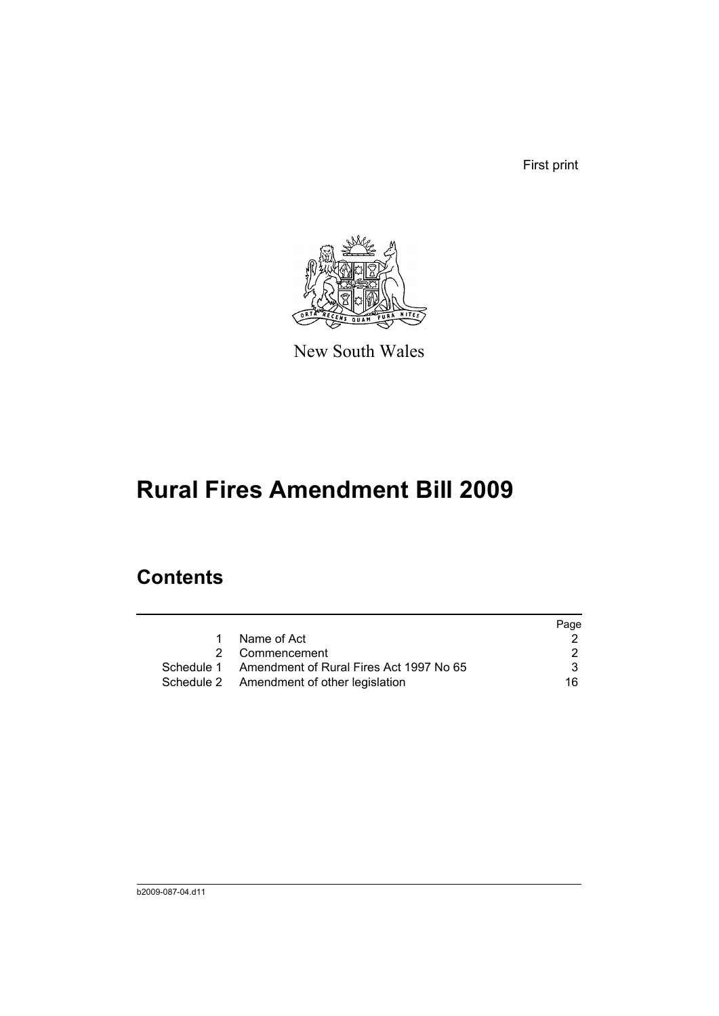First print



New South Wales

# **Rural Fires Amendment Bill 2009**

# **Contents**

|   |                                                    | Page |
|---|----------------------------------------------------|------|
| 1 | Name of Act                                        |      |
|   | 2 Commencement                                     | 2    |
|   | Schedule 1 Amendment of Rural Fires Act 1997 No 65 | 3.   |
|   | Schedule 2 Amendment of other legislation          | 16.  |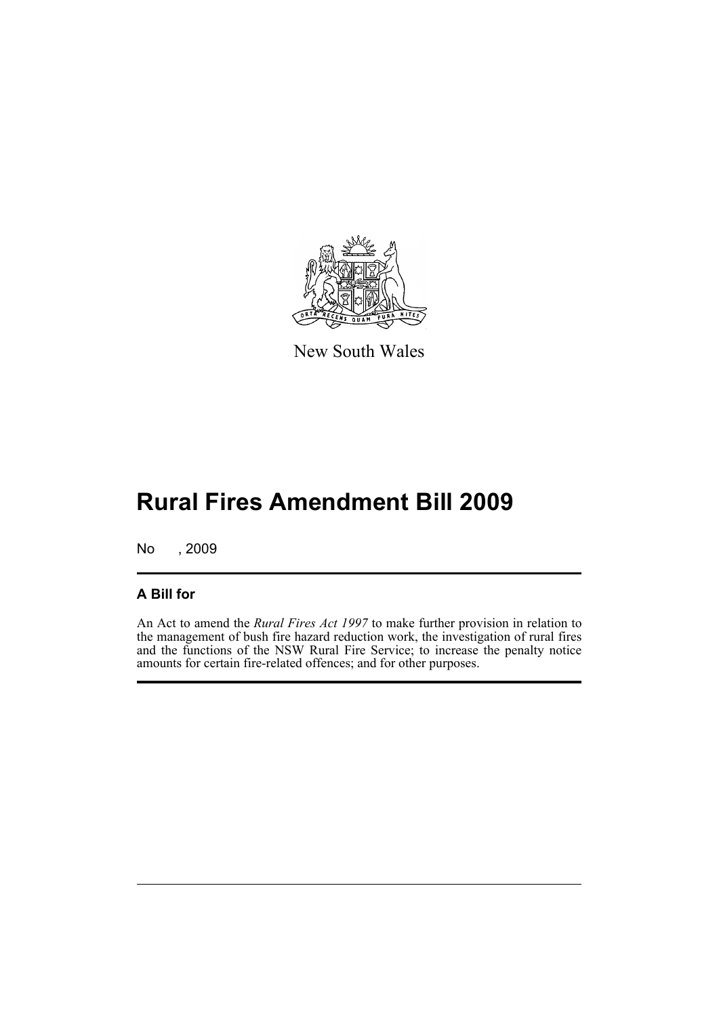

New South Wales

# **Rural Fires Amendment Bill 2009**

No , 2009

### **A Bill for**

An Act to amend the *Rural Fires Act 1997* to make further provision in relation to the management of bush fire hazard reduction work, the investigation of rural fires and the functions of the NSW Rural Fire Service; to increase the penalty notice amounts for certain fire-related offences; and for other purposes.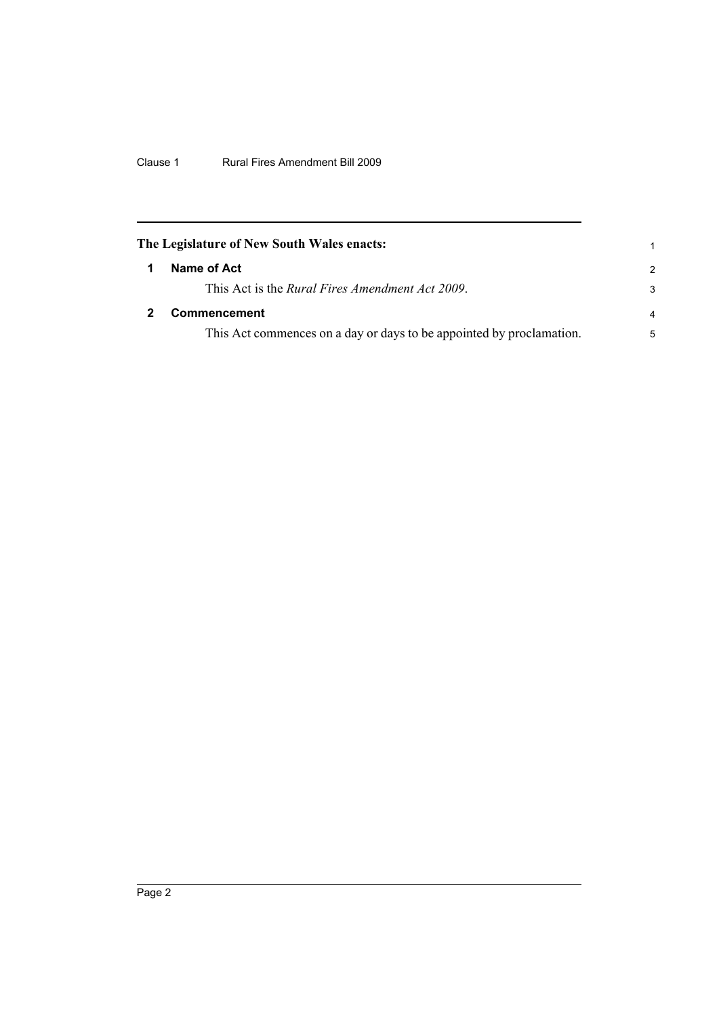<span id="page-7-1"></span><span id="page-7-0"></span>

| The Legislature of New South Wales enacts:                           |               |
|----------------------------------------------------------------------|---------------|
| Name of Act                                                          | $\mathcal{P}$ |
| This Act is the <i>Rural Fires Amendment Act 2009</i> .              | 3             |
| Commencement                                                         | 4             |
| This Act commences on a day or days to be appointed by proclamation. | 5             |
|                                                                      |               |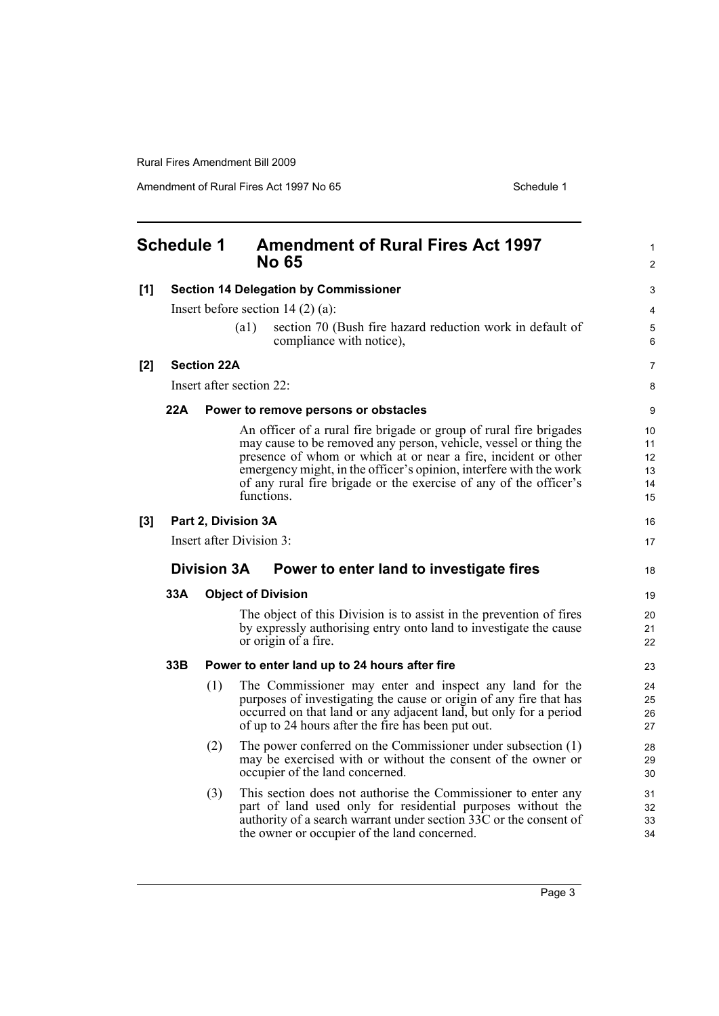<span id="page-8-0"></span>

|     | <b>Schedule 1</b> |                    | <b>Amendment of Rural Fires Act 1997</b><br><b>No 65</b>                                                                                                                                                                                                                                                                                                          | 1<br>2                           |
|-----|-------------------|--------------------|-------------------------------------------------------------------------------------------------------------------------------------------------------------------------------------------------------------------------------------------------------------------------------------------------------------------------------------------------------------------|----------------------------------|
| [1] |                   |                    | <b>Section 14 Delegation by Commissioner</b>                                                                                                                                                                                                                                                                                                                      | 3                                |
|     |                   |                    | Insert before section $14(2)(a)$ :                                                                                                                                                                                                                                                                                                                                | 4                                |
|     |                   |                    | section 70 (Bush fire hazard reduction work in default of<br>(a1)<br>compliance with notice),                                                                                                                                                                                                                                                                     | 5<br>6                           |
| [2] |                   | <b>Section 22A</b> |                                                                                                                                                                                                                                                                                                                                                                   | 7                                |
|     |                   |                    | Insert after section 22:                                                                                                                                                                                                                                                                                                                                          | 8                                |
|     | 22A               |                    | Power to remove persons or obstacles                                                                                                                                                                                                                                                                                                                              | 9                                |
|     |                   |                    | An officer of a rural fire brigade or group of rural fire brigades<br>may cause to be removed any person, vehicle, vessel or thing the<br>presence of whom or which at or near a fire, incident or other<br>emergency might, in the officer's opinion, interfere with the work<br>of any rural fire brigade or the exercise of any of the officer's<br>functions. | 10<br>11<br>12<br>13<br>14<br>15 |
| [3] |                   |                    | Part 2, Division 3A                                                                                                                                                                                                                                                                                                                                               | 16                               |
|     |                   |                    | Insert after Division 3:                                                                                                                                                                                                                                                                                                                                          | 17                               |
|     |                   | <b>Division 3A</b> | Power to enter land to investigate fires                                                                                                                                                                                                                                                                                                                          | 18                               |
|     | 33A               |                    | <b>Object of Division</b>                                                                                                                                                                                                                                                                                                                                         | 19                               |
|     |                   |                    | The object of this Division is to assist in the prevention of fires<br>by expressly authorising entry onto land to investigate the cause<br>or origin of a fire.                                                                                                                                                                                                  | 20<br>21<br>22                   |
|     | 33B               |                    | Power to enter land up to 24 hours after fire                                                                                                                                                                                                                                                                                                                     | 23                               |
|     |                   | (1)                |                                                                                                                                                                                                                                                                                                                                                                   |                                  |
|     |                   |                    | The Commissioner may enter and inspect any land for the<br>purposes of investigating the cause or origin of any fire that has<br>occurred on that land or any adjacent land, but only for a period<br>of up to 24 hours after the fire has been put out.                                                                                                          | 24<br>25<br>26<br>27             |
|     |                   | (2)                | The power conferred on the Commissioner under subsection (1)<br>may be exercised with or without the consent of the owner or<br>occupier of the land concerned.                                                                                                                                                                                                   | 28<br>29<br>30                   |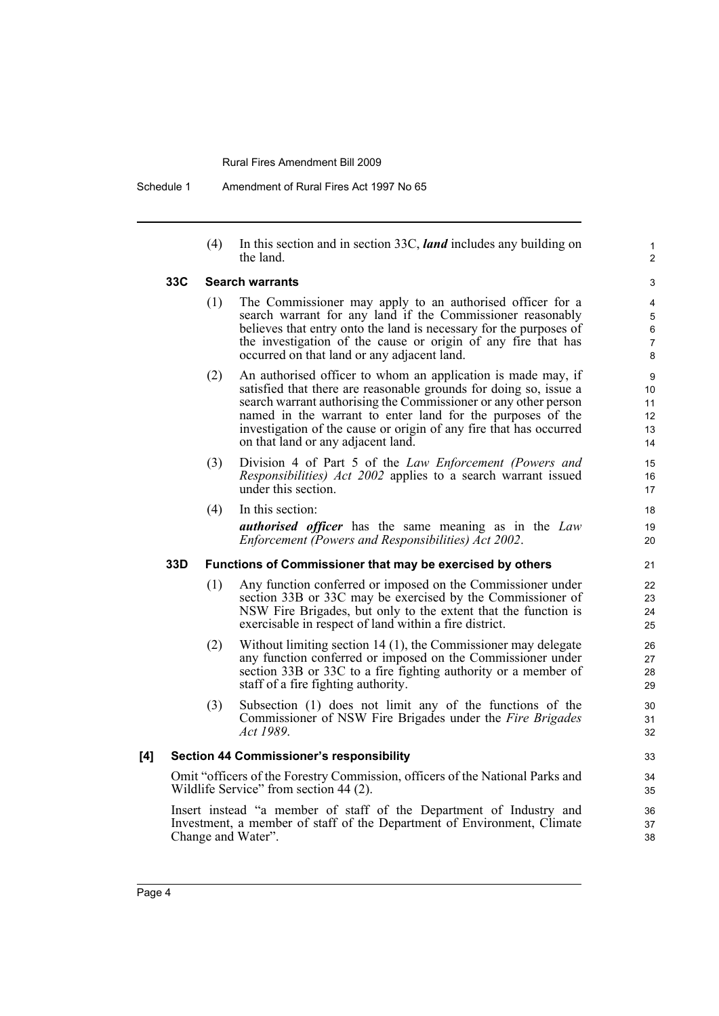(4) In this section and in section 33C, *land* includes any building on the land.

#### **33C Search warrants**

- (1) The Commissioner may apply to an authorised officer for a search warrant for any land if the Commissioner reasonably believes that entry onto the land is necessary for the purposes of the investigation of the cause or origin of any fire that has occurred on that land or any adjacent land.
- (2) An authorised officer to whom an application is made may, if satisfied that there are reasonable grounds for doing so, issue a search warrant authorising the Commissioner or any other person named in the warrant to enter land for the purposes of the investigation of the cause or origin of any fire that has occurred on that land or any adjacent land.
- (3) Division 4 of Part 5 of the *Law Enforcement (Powers and Responsibilities) Act 2002* applies to a search warrant issued under this section.
- (4) In this section: *authorised officer* has the same meaning as in the *Law Enforcement (Powers and Responsibilities) Act 2002*.

#### **33D Functions of Commissioner that may be exercised by others**

- (1) Any function conferred or imposed on the Commissioner under section 33B or 33C may be exercised by the Commissioner of NSW Fire Brigades, but only to the extent that the function is exercisable in respect of land within a fire district.
- (2) Without limiting section 14 (1), the Commissioner may delegate any function conferred or imposed on the Commissioner under section 33B or 33C to a fire fighting authority or a member of staff of a fire fighting authority.
- (3) Subsection (1) does not limit any of the functions of the Commissioner of NSW Fire Brigades under the *Fire Brigades Act 1989*.

#### **[4] Section 44 Commissioner's responsibility**

Omit "officers of the Forestry Commission, officers of the National Parks and Wildlife Service" from section 44 (2).

Insert instead "a member of staff of the Department of Industry and Investment, a member of staff of the Department of Environment, Climate Change and Water".

> 36 37 38

1  $\overline{2}$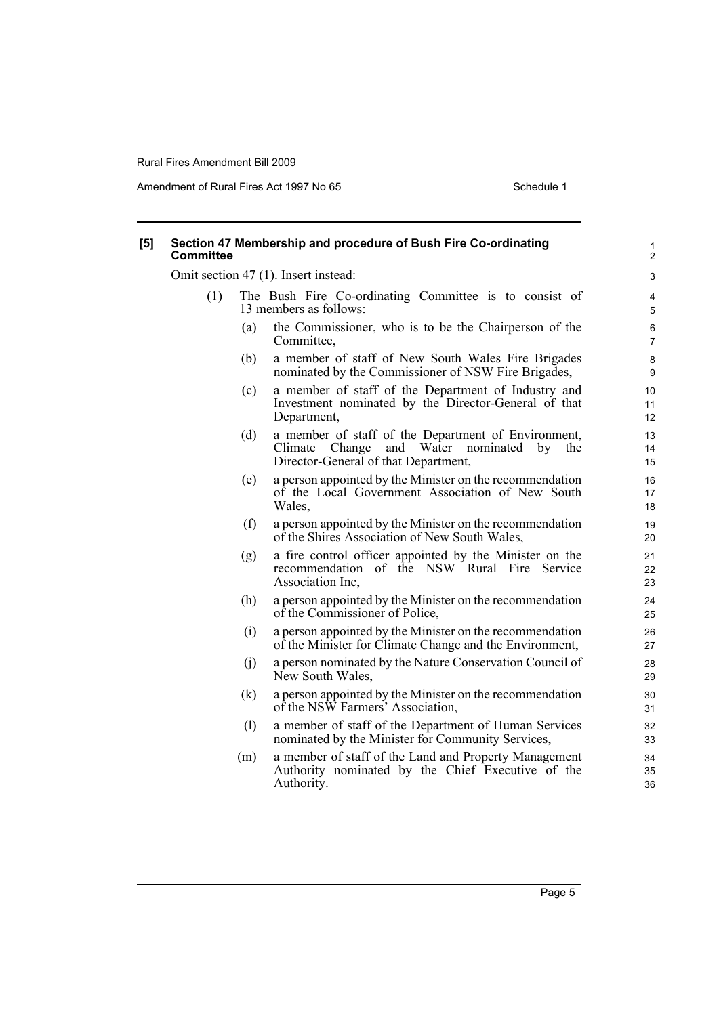| [5] | Committee |     | Section 47 Membership and procedure of Bush Fire Co-ordinating                                                                                          | $\mathbf{1}$<br>$\overline{c}$ |
|-----|-----------|-----|---------------------------------------------------------------------------------------------------------------------------------------------------------|--------------------------------|
|     |           |     | Omit section 47 (1). Insert instead:                                                                                                                    | 3                              |
|     | (1)       |     | The Bush Fire Co-ordinating Committee is to consist of<br>13 members as follows:                                                                        | 4<br>5                         |
|     |           | (a) | the Commissioner, who is to be the Chairperson of the<br>Committee,                                                                                     | 6<br>$\overline{7}$            |
|     |           | (b) | a member of staff of New South Wales Fire Brigades<br>nominated by the Commissioner of NSW Fire Brigades,                                               | 8<br>9                         |
|     |           | (c) | a member of staff of the Department of Industry and<br>Investment nominated by the Director-General of that<br>Department,                              | 10<br>11<br>12                 |
|     |           | (d) | a member of staff of the Department of Environment,<br>Climate<br>Change<br>and Water<br>nominated<br>by<br>the<br>Director-General of that Department, | 13<br>14<br>15                 |
|     |           | (e) | a person appointed by the Minister on the recommendation<br>of the Local Government Association of New South<br>Wales,                                  | 16<br>17<br>18                 |
|     |           | (f) | a person appointed by the Minister on the recommendation<br>of the Shires Association of New South Wales,                                               | 19<br>20                       |
|     |           | (g) | a fire control officer appointed by the Minister on the<br>recommendation of the NSW Rural Fire Service<br>Association Inc.                             | 21<br>22<br>23                 |
|     |           | (h) | a person appointed by the Minister on the recommendation<br>of the Commissioner of Police,                                                              | 24<br>25                       |
|     |           | (i) | a person appointed by the Minister on the recommendation<br>of the Minister for Climate Change and the Environment,                                     | 26<br>27                       |
|     |           | (j) | a person nominated by the Nature Conservation Council of<br>New South Wales,                                                                            | 28<br>29                       |
|     |           | (k) | a person appointed by the Minister on the recommendation<br>of the NSW Farmers' Association,                                                            | 30<br>31                       |
|     |           | (1) | a member of staff of the Department of Human Services<br>nominated by the Minister for Community Services,                                              | 32<br>33                       |
|     |           | (m) | a member of staff of the Land and Property Management<br>Authority nominated by the Chief Executive of the<br>Authority.                                | 34<br>35<br>36                 |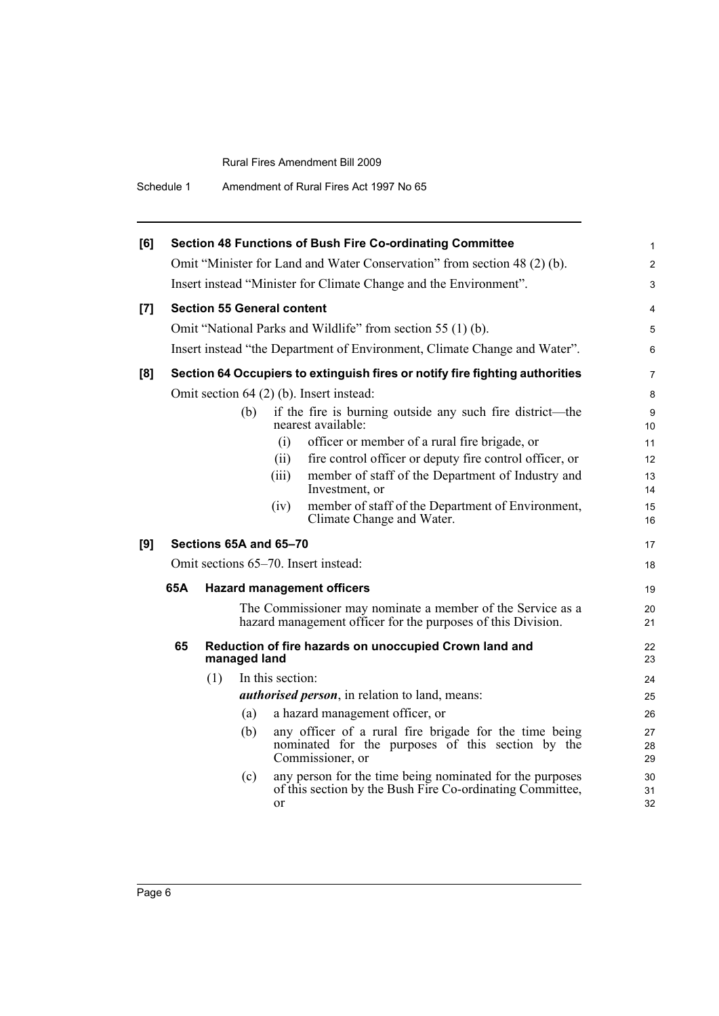| Amendment of Rural Fires Act 1997 No 65 |
|-----------------------------------------|
|                                         |

| [6] |     |     |              | <b>Section 48 Functions of Bush Fire Co-ordinating Committee</b>                                                                | $\mathbf{1}$   |
|-----|-----|-----|--------------|---------------------------------------------------------------------------------------------------------------------------------|----------------|
|     |     |     |              | Omit "Minister for Land and Water Conservation" from section 48 (2) (b).                                                        | $\overline{2}$ |
|     |     |     |              | Insert instead "Minister for Climate Change and the Environment".                                                               | 3              |
| [7] |     |     |              | <b>Section 55 General content</b>                                                                                               | 4              |
|     |     |     |              | Omit "National Parks and Wildlife" from section 55 (1) (b).                                                                     | 5              |
|     |     |     |              | Insert instead "the Department of Environment, Climate Change and Water".                                                       | 6              |
| [8] |     |     |              | Section 64 Occupiers to extinguish fires or notify fire fighting authorities                                                    | 7              |
|     |     |     |              | Omit section 64 (2) (b). Insert instead:                                                                                        | 8              |
|     |     |     | (b)          | if the fire is burning outside any such fire district—the<br>nearest available:                                                 | 9<br>10        |
|     |     |     |              | officer or member of a rural fire brigade, or<br>(i)                                                                            | 11             |
|     |     |     |              | fire control officer or deputy fire control officer, or<br>(ii)                                                                 | 12             |
|     |     |     |              | member of staff of the Department of Industry and<br>(iii)<br>Investment, or                                                    | 13<br>14       |
|     |     |     |              | member of staff of the Department of Environment,<br>(iv)<br>Climate Change and Water.                                          | 15<br>16       |
| [9] |     |     |              | Sections 65A and 65-70                                                                                                          | 17             |
|     |     |     |              | Omit sections 65–70. Insert instead:                                                                                            | 18             |
|     | 65A |     |              | <b>Hazard management officers</b>                                                                                               | 19             |
|     |     |     |              | The Commissioner may nominate a member of the Service as a<br>hazard management officer for the purposes of this Division.      | 20<br>21       |
|     | 65  |     | managed land | Reduction of fire hazards on unoccupied Crown land and                                                                          | 22<br>23       |
|     |     | (1) |              | In this section:                                                                                                                | 24             |
|     |     |     |              | <i>authorised person</i> , in relation to land, means:                                                                          | 25             |
|     |     |     | (a)          | a hazard management officer, or                                                                                                 | 26             |
|     |     |     | (b)          | any officer of a rural fire brigade for the time being<br>nominated for the purposes of this section by the<br>Commissioner, or | 27<br>28<br>29 |
|     |     |     | (c)          | any person for the time being nominated for the purposes<br>of this section by the Bush Fire Co-ordinating Committee,<br>or     | 30<br>31<br>32 |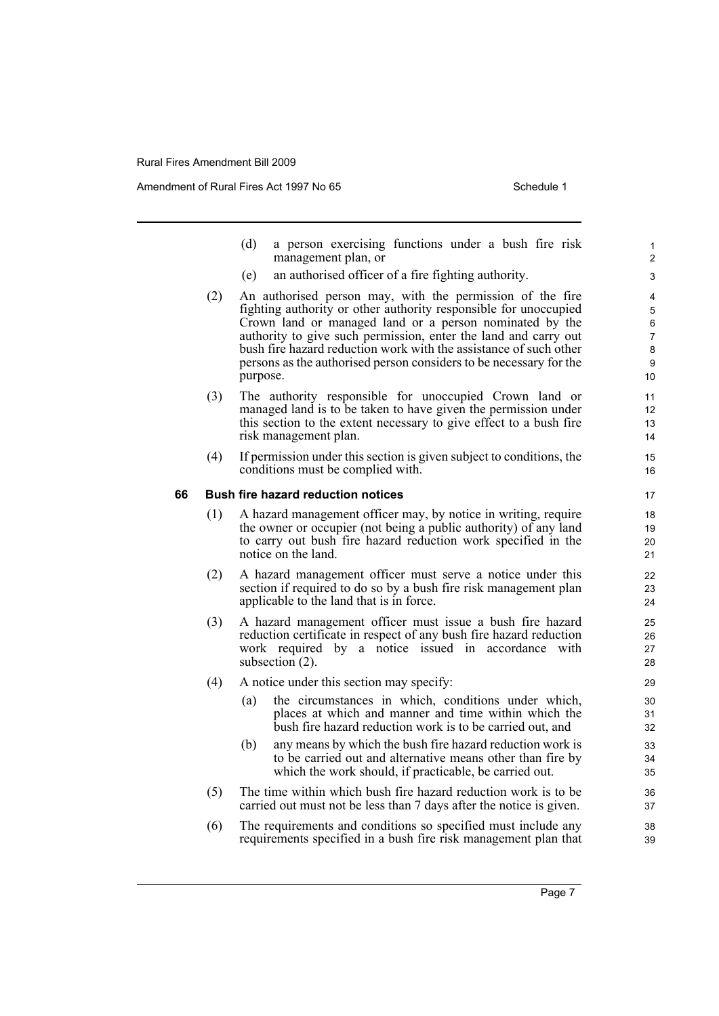Amendment of Rural Fires Act 1997 No 65 Schedule 1

(d) a person exercising functions under a bush fire risk management plan, or (e) an authorised officer of a fire fighting authority. (2) An authorised person may, with the permission of the fire fighting authority or other authority responsible for unoccupied Crown land or managed land or a person nominated by the authority to give such permission, enter the land and carry out bush fire hazard reduction work with the assistance of such other persons as the authorised person considers to be necessary for the purpose. (3) The authority responsible for unoccupied Crown land or managed land is to be taken to have given the permission under this section to the extent necessary to give effect to a bush fire risk management plan. (4) If permission under this section is given subject to conditions, the conditions must be complied with. **66 Bush fire hazard reduction notices** (1) A hazard management officer may, by notice in writing, require the owner or occupier (not being a public authority) of any land to carry out bush fire hazard reduction work specified in the notice on the land. (2) A hazard management officer must serve a notice under this section if required to do so by a bush fire risk management plan applicable to the land that is in force. (3) A hazard management officer must issue a bush fire hazard reduction certificate in respect of any bush fire hazard reduction work required by a notice issued in accordance with subsection (2). (4) A notice under this section may specify: (a) the circumstances in which, conditions under which, places at which and manner and time within which the bush fire hazard reduction work is to be carried out, and (b) any means by which the bush fire hazard reduction work is to be carried out and alternative means other than fire by which the work should, if practicable, be carried out. (5) The time within which bush fire hazard reduction work is to be carried out must not be less than 7 days after the notice is given. (6) The requirements and conditions so specified must include any requirements specified in a bush fire risk management plan that 10 11 12 13 14 15 16 17 18 19 20 21 22 23 24 25 26 27 28 29 30 31 32 33 34 35 36 37 38 39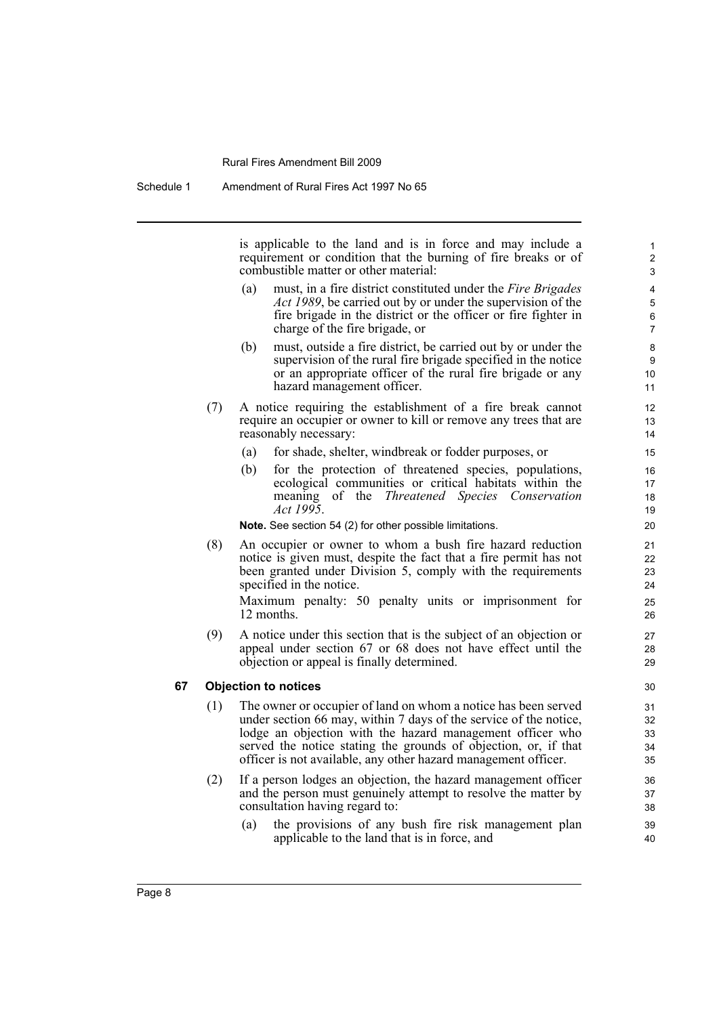is applicable to the land and is in force and may include a requirement or condition that the burning of fire breaks or of combustible matter or other material:

- (a) must, in a fire district constituted under the *Fire Brigades Act 1989*, be carried out by or under the supervision of the fire brigade in the district or the officer or fire fighter in charge of the fire brigade, or
- (b) must, outside a fire district, be carried out by or under the supervision of the rural fire brigade specified in the notice or an appropriate officer of the rural fire brigade or any hazard management officer.
- (7) A notice requiring the establishment of a fire break cannot require an occupier or owner to kill or remove any trees that are reasonably necessary:
	- (a) for shade, shelter, windbreak or fodder purposes, or
	- (b) for the protection of threatened species, populations, ecological communities or critical habitats within the meaning of the *Threatened Species Conservation Act 1995*.

**Note.** See section 54 (2) for other possible limitations.

(8) An occupier or owner to whom a bush fire hazard reduction notice is given must, despite the fact that a fire permit has not been granted under Division 5, comply with the requirements specified in the notice.

Maximum penalty: 50 penalty units or imprisonment for 12 months.

(9) A notice under this section that is the subject of an objection or appeal under section 67 or 68 does not have effect until the objection or appeal is finally determined.

#### **67 Objection to notices**

- (1) The owner or occupier of land on whom a notice has been served under section 66 may, within 7 days of the service of the notice, lodge an objection with the hazard management officer who served the notice stating the grounds of objection, or, if that officer is not available, any other hazard management officer.
- (2) If a person lodges an objection, the hazard management officer and the person must genuinely attempt to resolve the matter by consultation having regard to:
	- (a) the provisions of any bush fire risk management plan applicable to the land that is in force, and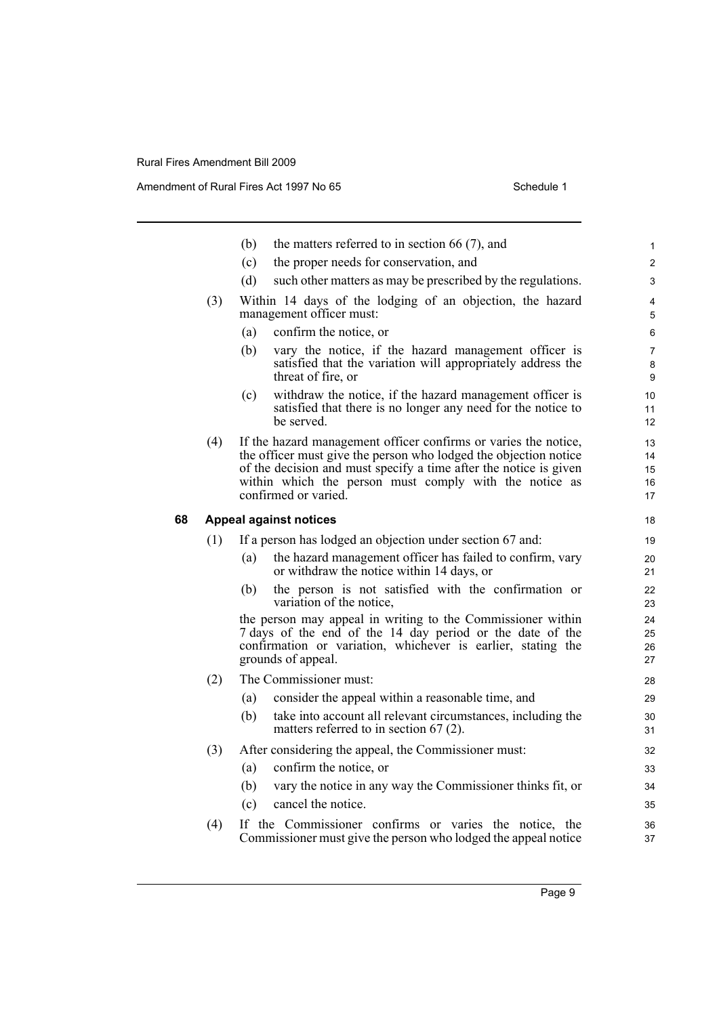|    |     | (b) | the matters referred to in section 66 $(7)$ , and                                                                                                                                                                                                                                          | 1                          |
|----|-----|-----|--------------------------------------------------------------------------------------------------------------------------------------------------------------------------------------------------------------------------------------------------------------------------------------------|----------------------------|
|    |     | (c) | the proper needs for conservation, and                                                                                                                                                                                                                                                     | $\overline{2}$             |
|    |     | (d) | such other matters as may be prescribed by the regulations.                                                                                                                                                                                                                                | 3                          |
|    | (3) |     | Within 14 days of the lodging of an objection, the hazard<br>management officer must:                                                                                                                                                                                                      | 4<br>5                     |
|    |     | (a) | confirm the notice, or                                                                                                                                                                                                                                                                     | 6                          |
|    |     | (b) | vary the notice, if the hazard management officer is<br>satisfied that the variation will appropriately address the<br>threat of fire, or                                                                                                                                                  | 7<br>8<br>9                |
|    |     | (c) | withdraw the notice, if the hazard management officer is<br>satisfied that there is no longer any need for the notice to<br>be served.                                                                                                                                                     | 10<br>11<br>12             |
|    | (4) |     | If the hazard management officer confirms or varies the notice,<br>the officer must give the person who lodged the objection notice<br>of the decision and must specify a time after the notice is given<br>within which the person must comply with the notice as<br>confirmed or varied. | 13<br>14<br>15<br>16<br>17 |
| 68 |     |     | <b>Appeal against notices</b>                                                                                                                                                                                                                                                              | 18                         |
|    | (1) |     | If a person has lodged an objection under section 67 and:                                                                                                                                                                                                                                  | 19                         |
|    |     | (a) | the hazard management officer has failed to confirm, vary<br>or withdraw the notice within 14 days, or                                                                                                                                                                                     | 20<br>21                   |
|    |     | (b) | the person is not satisfied with the confirmation or<br>variation of the notice,                                                                                                                                                                                                           | 22<br>23                   |
|    |     |     | the person may appeal in writing to the Commissioner within<br>7 days of the end of the 14 day period or the date of the<br>confirmation or variation, whichever is earlier, stating the<br>grounds of appeal.                                                                             | 24<br>25<br>26<br>27       |
|    | (2) |     | The Commissioner must:                                                                                                                                                                                                                                                                     | 28                         |
|    |     | (a) | consider the appeal within a reasonable time, and                                                                                                                                                                                                                                          | 29                         |
|    |     | (b) | take into account all relevant circumstances, including the<br>matters referred to in section $67(2)$ .                                                                                                                                                                                    | 30<br>31                   |
|    | (3) |     | After considering the appeal, the Commissioner must:                                                                                                                                                                                                                                       | 32                         |
|    |     | (a) | confirm the notice, or                                                                                                                                                                                                                                                                     | 33                         |
|    |     | (b) | vary the notice in any way the Commissioner thinks fit, or                                                                                                                                                                                                                                 | 34                         |
|    |     | (c) | cancel the notice.                                                                                                                                                                                                                                                                         | 35                         |
|    | (4) |     | If the Commissioner confirms or varies the notice, the<br>Commissioner must give the person who lodged the appeal notice                                                                                                                                                                   | 36<br>37                   |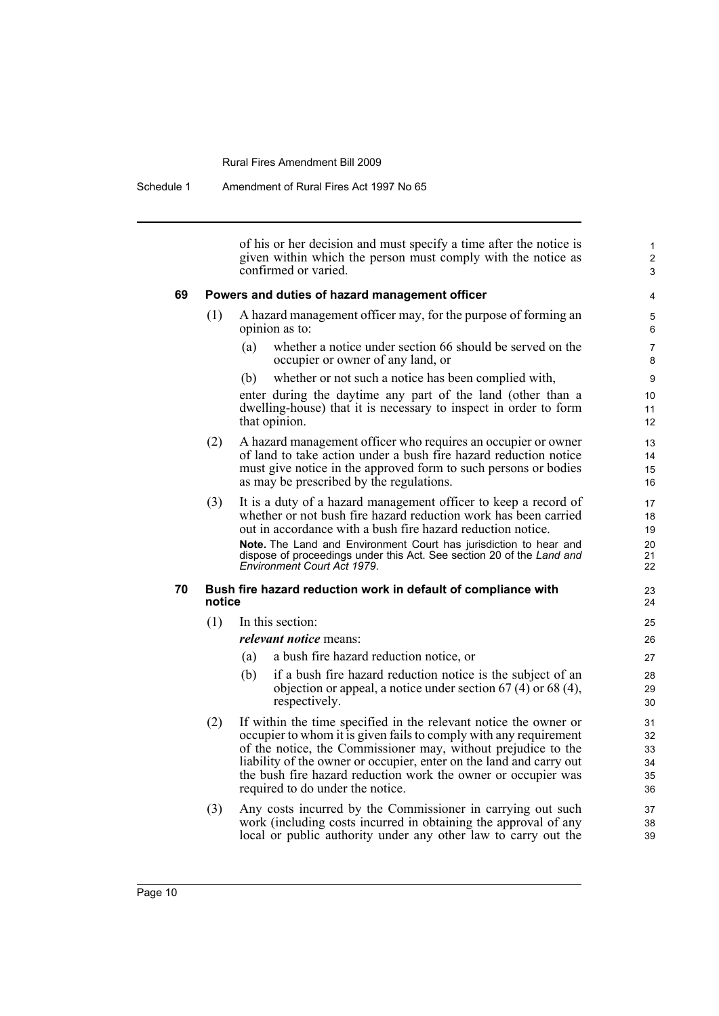Schedule 1 Amendment of Rural Fires Act 1997 No 65

of his or her decision and must specify a time after the notice is given within which the person must comply with the notice as confirmed or varied.

1 2 3

#### **69 Powers and duties of hazard management officer**

- (1) A hazard management officer may, for the purpose of forming an opinion as to:
	- (a) whether a notice under section 66 should be served on the occupier or owner of any land, or
	- (b) whether or not such a notice has been complied with,

enter during the daytime any part of the land (other than a dwelling-house) that it is necessary to inspect in order to form that opinion.

- (2) A hazard management officer who requires an occupier or owner of land to take action under a bush fire hazard reduction notice must give notice in the approved form to such persons or bodies as may be prescribed by the regulations.
- (3) It is a duty of a hazard management officer to keep a record of whether or not bush fire hazard reduction work has been carried out in accordance with a bush fire hazard reduction notice. **Note.** The Land and Environment Court has jurisdiction to hear and dispose of proceedings under this Act. See section 20 of the *Land and Environment Court Act 1979*.

#### **70 Bush fire hazard reduction work in default of compliance with notice**

(1) In this section:

*relevant notice* means:

- (a) a bush fire hazard reduction notice, or
- (b) if a bush fire hazard reduction notice is the subject of an objection or appeal, a notice under section 67 (4) or 68 (4), respectively.
- (2) If within the time specified in the relevant notice the owner or occupier to whom it is given fails to comply with any requirement of the notice, the Commissioner may, without prejudice to the liability of the owner or occupier, enter on the land and carry out the bush fire hazard reduction work the owner or occupier was required to do under the notice.
- (3) Any costs incurred by the Commissioner in carrying out such work (including costs incurred in obtaining the approval of any local or public authority under any other law to carry out the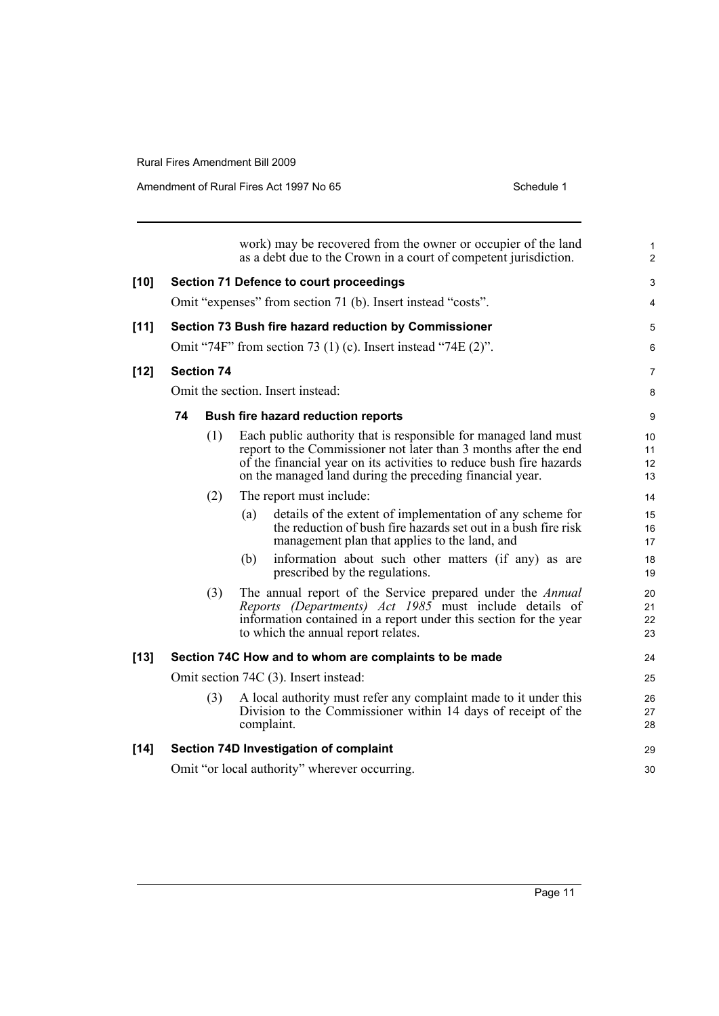|        |    |                   | work) may be recovered from the owner or occupier of the land<br>as a debt due to the Crown in a court of competent jurisdiction.                                                                                                                                      | 1<br>$\overline{c}$  |
|--------|----|-------------------|------------------------------------------------------------------------------------------------------------------------------------------------------------------------------------------------------------------------------------------------------------------------|----------------------|
| $[10]$ |    |                   | <b>Section 71 Defence to court proceedings</b>                                                                                                                                                                                                                         | 3                    |
|        |    |                   | Omit "expenses" from section 71 (b). Insert instead "costs".                                                                                                                                                                                                           | 4                    |
| $[11]$ |    |                   | Section 73 Bush fire hazard reduction by Commissioner                                                                                                                                                                                                                  | 5                    |
|        |    |                   | Omit "74F" from section 73 (1) (c). Insert instead "74E $(2)$ ".                                                                                                                                                                                                       | 6                    |
| $[12]$ |    | <b>Section 74</b> |                                                                                                                                                                                                                                                                        | 7                    |
|        |    |                   | Omit the section. Insert instead:                                                                                                                                                                                                                                      | 8                    |
|        | 74 |                   | Bush fire hazard reduction reports                                                                                                                                                                                                                                     | 9                    |
|        |    | (1)               | Each public authority that is responsible for managed land must<br>report to the Commissioner not later than 3 months after the end<br>of the financial year on its activities to reduce bush fire hazards<br>on the managed land during the preceding financial year. | 10<br>11<br>12<br>13 |
|        |    | (2)               | The report must include:                                                                                                                                                                                                                                               | 14                   |
|        |    |                   | details of the extent of implementation of any scheme for<br>(a)<br>the reduction of bush fire hazards set out in a bush fire risk<br>management plan that applies to the land, and                                                                                    | 15<br>16<br>17       |
|        |    |                   | information about such other matters (if any) as are<br>(b)<br>prescribed by the regulations.                                                                                                                                                                          | 18<br>19             |
|        |    | (3)               | The annual report of the Service prepared under the Annual<br>Reports (Departments) Act 1985 must include details of<br>information contained in a report under this section for the year<br>to which the annual report relates.                                       | 20<br>21<br>22<br>23 |
| $[13]$ |    |                   | Section 74C How and to whom are complaints to be made                                                                                                                                                                                                                  | 24                   |
|        |    |                   | Omit section 74C (3). Insert instead:                                                                                                                                                                                                                                  | 25                   |
|        |    | (3)               | A local authority must refer any complaint made to it under this<br>Division to the Commissioner within 14 days of receipt of the<br>complaint.                                                                                                                        | 26<br>27<br>28       |
| $[14]$ |    |                   | Section 74D Investigation of complaint                                                                                                                                                                                                                                 | 29                   |
|        |    |                   | Omit "or local authority" wherever occurring.                                                                                                                                                                                                                          | 30                   |
|        |    |                   |                                                                                                                                                                                                                                                                        |                      |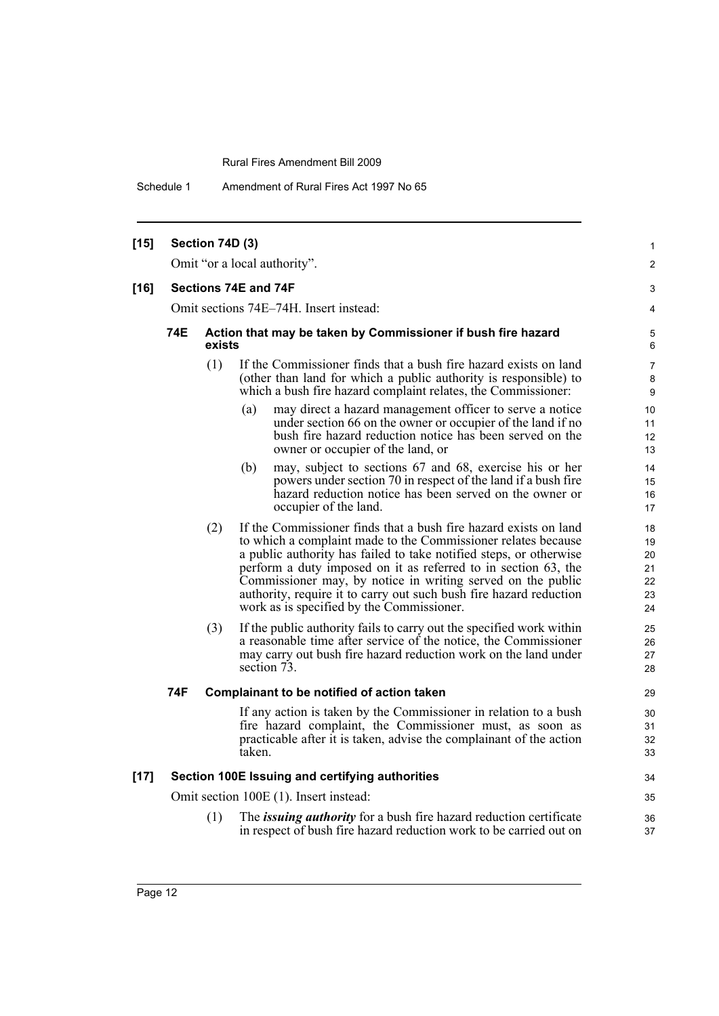Schedule 1 Amendment of Rural Fires Act 1997 No 65

| $[15]$ |                                        | Section 74D (3) |                                                                                                                                                                                                                                                                                                                                                                                                                                                             | 1                                      |  |
|--------|----------------------------------------|-----------------|-------------------------------------------------------------------------------------------------------------------------------------------------------------------------------------------------------------------------------------------------------------------------------------------------------------------------------------------------------------------------------------------------------------------------------------------------------------|----------------------------------------|--|
|        |                                        |                 | Omit "or a local authority".                                                                                                                                                                                                                                                                                                                                                                                                                                | 2                                      |  |
| $[16]$ |                                        |                 | Sections 74E and 74F                                                                                                                                                                                                                                                                                                                                                                                                                                        | 3                                      |  |
|        | Omit sections 74E-74H. Insert instead: |                 |                                                                                                                                                                                                                                                                                                                                                                                                                                                             |                                        |  |
|        | 74E                                    | exists          | Action that may be taken by Commissioner if bush fire hazard                                                                                                                                                                                                                                                                                                                                                                                                | 5<br>6                                 |  |
|        |                                        | (1)             | If the Commissioner finds that a bush fire hazard exists on land<br>(other than land for which a public authority is responsible) to<br>which a bush fire hazard complaint relates, the Commissioner:                                                                                                                                                                                                                                                       | 7<br>8<br>9                            |  |
|        |                                        |                 | may direct a hazard management officer to serve a notice<br>(a)<br>under section 66 on the owner or occupier of the land if no<br>bush fire hazard reduction notice has been served on the<br>owner or occupier of the land, or                                                                                                                                                                                                                             | 10<br>11<br>12<br>13                   |  |
|        |                                        |                 | may, subject to sections 67 and 68, exercise his or her<br>(b)<br>powers under section 70 in respect of the land if a bush fire<br>hazard reduction notice has been served on the owner or<br>occupier of the land.                                                                                                                                                                                                                                         | 14<br>15<br>16<br>17                   |  |
|        |                                        | (2)             | If the Commissioner finds that a bush fire hazard exists on land<br>to which a complaint made to the Commissioner relates because<br>a public authority has failed to take notified steps, or otherwise<br>perform a duty imposed on it as referred to in section 63, the<br>Commissioner may, by notice in writing served on the public<br>authority, require it to carry out such bush fire hazard reduction<br>work as is specified by the Commissioner. | 18<br>19<br>20<br>21<br>22<br>23<br>24 |  |
|        |                                        | (3)             | If the public authority fails to carry out the specified work within<br>a reasonable time after service of the notice, the Commissioner<br>may carry out bush fire hazard reduction work on the land under<br>section 73.                                                                                                                                                                                                                                   | 25<br>26<br>27<br>28                   |  |
|        | 74F                                    |                 | Complainant to be notified of action taken                                                                                                                                                                                                                                                                                                                                                                                                                  | 29                                     |  |
|        |                                        |                 | If any action is taken by the Commissioner in relation to a bush<br>fire hazard complaint, the Commissioner must, as soon as<br>practicable after it is taken, advise the complainant of the action<br>taken.                                                                                                                                                                                                                                               | 30<br>31<br>32<br>33                   |  |
| $[17]$ |                                        |                 | Section 100E Issuing and certifying authorities                                                                                                                                                                                                                                                                                                                                                                                                             | 34                                     |  |
|        |                                        |                 | Omit section 100E (1). Insert instead:                                                                                                                                                                                                                                                                                                                                                                                                                      | 35                                     |  |
|        |                                        | (1)             | The <i>issuing authority</i> for a bush fire hazard reduction certificate<br>in respect of bush fire hazard reduction work to be carried out on                                                                                                                                                                                                                                                                                                             | 36<br>37                               |  |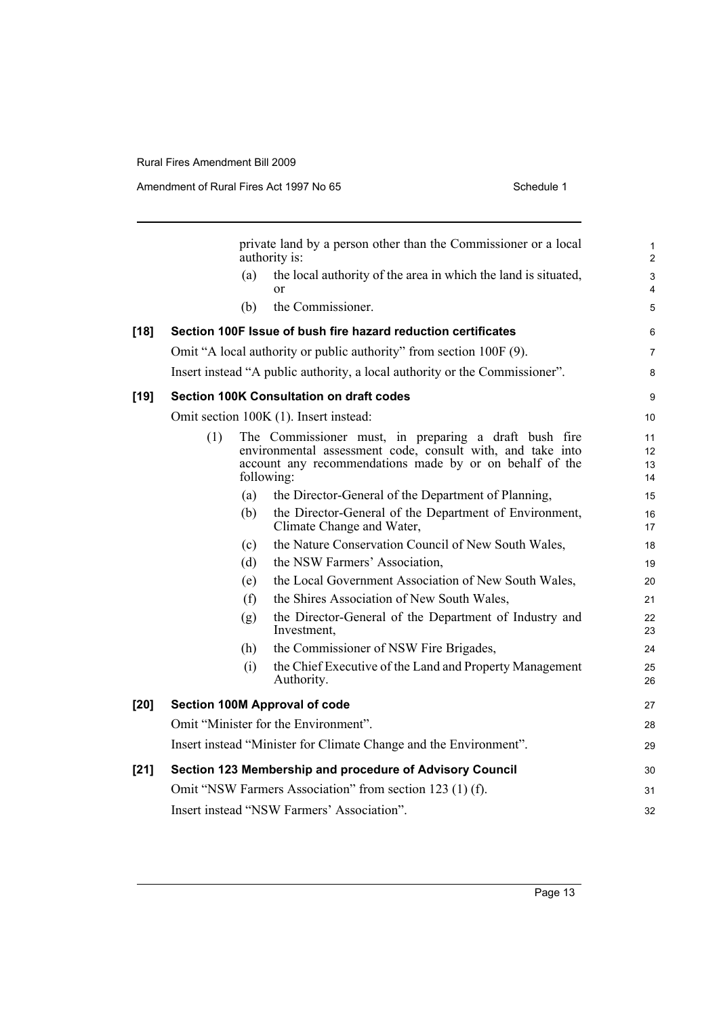|        |     |     | private land by a person other than the Commissioner or a local<br>authority is:                                                                                                             | $\mathbf{1}$<br>$\overline{2}$ |
|--------|-----|-----|----------------------------------------------------------------------------------------------------------------------------------------------------------------------------------------------|--------------------------------|
|        |     | (a) | the local authority of the area in which the land is situated,<br>or                                                                                                                         | $\sqrt{3}$<br>4                |
|        |     | (b) | the Commissioner.                                                                                                                                                                            | 5                              |
| $[18]$ |     |     | Section 100F Issue of bush fire hazard reduction certificates                                                                                                                                | 6                              |
|        |     |     | Omit "A local authority or public authority" from section 100F (9).                                                                                                                          | $\overline{7}$                 |
|        |     |     | Insert instead "A public authority, a local authority or the Commissioner".                                                                                                                  | 8                              |
| [19]   |     |     | <b>Section 100K Consultation on draft codes</b>                                                                                                                                              | 9                              |
|        |     |     | Omit section 100K (1). Insert instead:                                                                                                                                                       | 10                             |
|        | (1) |     | The Commissioner must, in preparing a draft bush fire<br>environmental assessment code, consult with, and take into<br>account any recommendations made by or on behalf of the<br>following: | 11<br>12<br>13<br>14           |
|        |     | (a) | the Director-General of the Department of Planning,                                                                                                                                          | 15                             |
|        |     | (b) | the Director-General of the Department of Environment,<br>Climate Change and Water,                                                                                                          | 16<br>17                       |
|        |     | (c) | the Nature Conservation Council of New South Wales,                                                                                                                                          | 18                             |
|        |     | (d) | the NSW Farmers' Association,                                                                                                                                                                | 19                             |
|        |     | (e) | the Local Government Association of New South Wales,                                                                                                                                         | 20                             |
|        |     | (f) | the Shires Association of New South Wales,                                                                                                                                                   | 21                             |
|        |     | (g) | the Director-General of the Department of Industry and<br>Investment,                                                                                                                        | 22<br>23                       |
|        |     | (h) | the Commissioner of NSW Fire Brigades,                                                                                                                                                       | 24                             |
|        |     | (i) | the Chief Executive of the Land and Property Management<br>Authority.                                                                                                                        | 25<br>26                       |
| [20]   |     |     | Section 100M Approval of code                                                                                                                                                                | 27                             |
|        |     |     | Omit "Minister for the Environment".                                                                                                                                                         | 28                             |
|        |     |     | Insert instead "Minister for Climate Change and the Environment".                                                                                                                            | 29                             |
| [21]   |     |     | Section 123 Membership and procedure of Advisory Council                                                                                                                                     | 30                             |
|        |     |     | Omit "NSW Farmers Association" from section 123 (1) (f).                                                                                                                                     | 31                             |
|        |     |     | Insert instead "NSW Farmers' Association".                                                                                                                                                   | 32                             |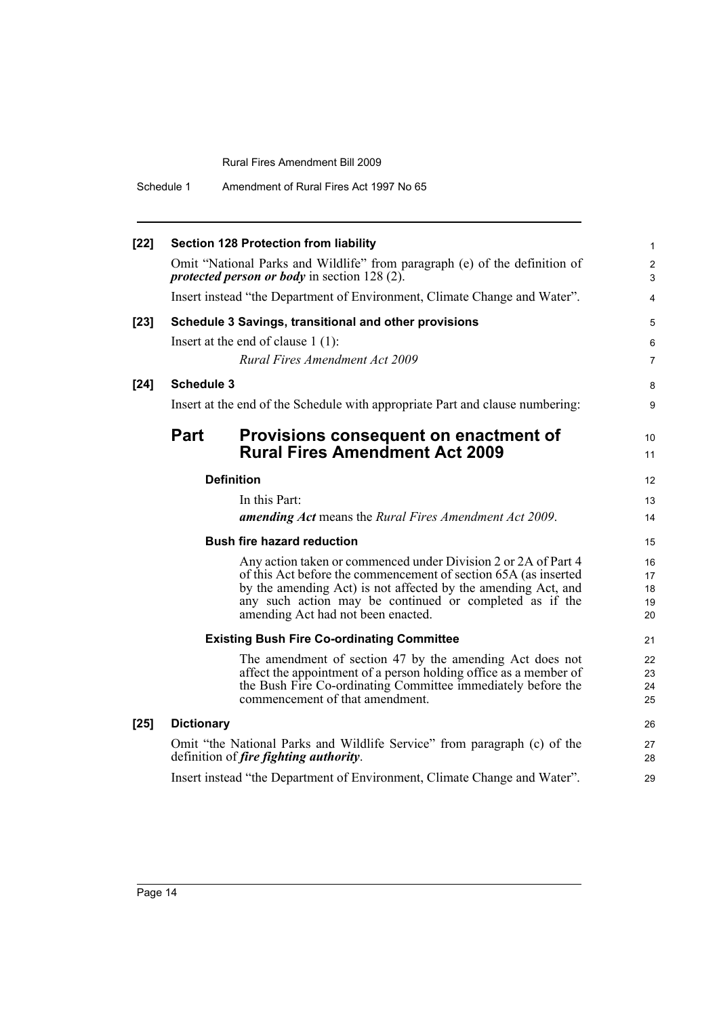| $[22]$ |                   | <b>Section 128 Protection from liability</b>                                                                                        | $\mathbf{1}$                       |
|--------|-------------------|-------------------------------------------------------------------------------------------------------------------------------------|------------------------------------|
|        |                   | Omit "National Parks and Wildlife" from paragraph (e) of the definition of<br><i>protected person or body</i> in section $128(2)$ . | $\boldsymbol{2}$<br>$\mathfrak{S}$ |
|        |                   | Insert instead "the Department of Environment, Climate Change and Water".                                                           | $\overline{4}$                     |
| $[23]$ |                   | Schedule 3 Savings, transitional and other provisions                                                                               | 5                                  |
|        |                   | Insert at the end of clause $1(1)$ :                                                                                                | 6                                  |
|        |                   | Rural Fires Amendment Act 2009                                                                                                      | $\overline{7}$                     |
| $[24]$ | <b>Schedule 3</b> |                                                                                                                                     | 8                                  |
|        |                   | Insert at the end of the Schedule with appropriate Part and clause numbering:                                                       | 9                                  |
|        | <b>Part</b>       | Provisions consequent on enactment of                                                                                               | 10                                 |
|        |                   | <b>Rural Fires Amendment Act 2009</b>                                                                                               | 11                                 |
|        |                   | <b>Definition</b>                                                                                                                   | 12                                 |
|        |                   | In this Part:                                                                                                                       | 13                                 |
|        |                   | amending Act means the Rural Fires Amendment Act 2009.                                                                              | 14                                 |
|        |                   | <b>Bush fire hazard reduction</b>                                                                                                   | 15                                 |
|        |                   | Any action taken or commenced under Division 2 or 2A of Part 4                                                                      | 16                                 |
|        |                   | of this Act before the commencement of section 65A (as inserted<br>by the amending Act) is not affected by the amending Act, and    | 17                                 |
|        |                   | any such action may be continued or completed as if the                                                                             | 18<br>19                           |
|        |                   | amending Act had not been enacted.                                                                                                  | 20                                 |
|        |                   | <b>Existing Bush Fire Co-ordinating Committee</b>                                                                                   | 21                                 |
|        |                   | The amendment of section 47 by the amending Act does not                                                                            | 22                                 |
|        |                   | affect the appointment of a person holding office as a member of                                                                    | 23                                 |
|        |                   | the Bush Fire Co-ordinating Committee immediately before the<br>commencement of that amendment.                                     | 24<br>25                           |
| $[25]$ | <b>Dictionary</b> |                                                                                                                                     | 26                                 |
|        |                   | Omit "the National Parks and Wildlife Service" from paragraph (c) of the                                                            | 27                                 |
|        |                   | definition of <i>fire fighting authority</i> .                                                                                      | 28                                 |
|        |                   | Insert instead "the Department of Environment, Climate Change and Water".                                                           | 29                                 |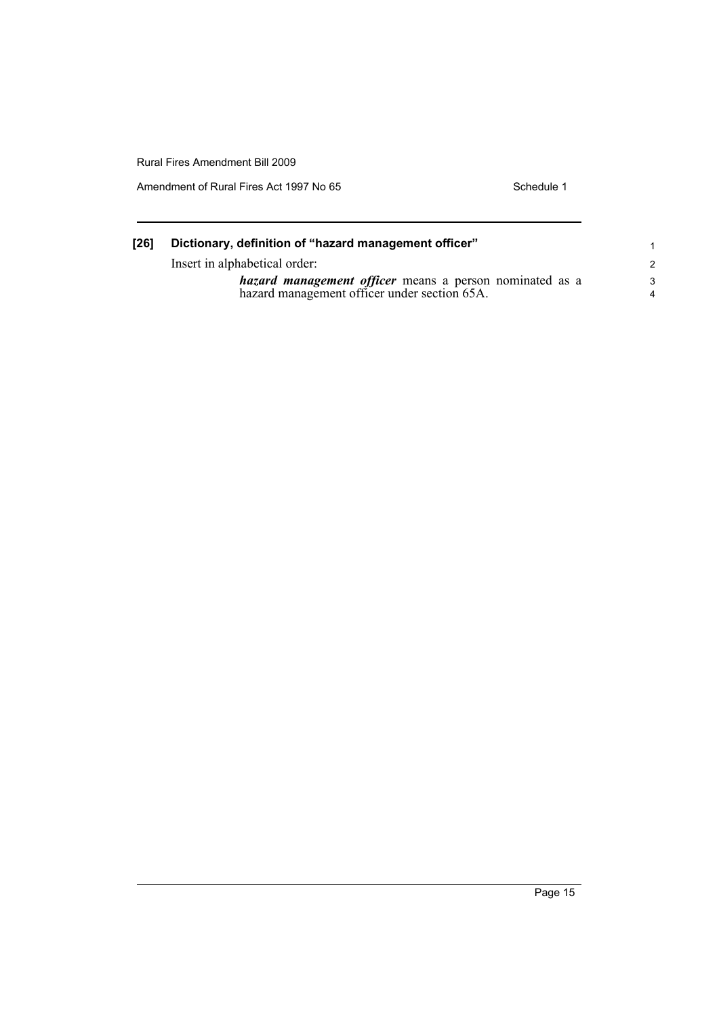| [26] | Dictionary, definition of "hazard management officer"                                                       |         |  |  |  |
|------|-------------------------------------------------------------------------------------------------------------|---------|--|--|--|
|      | Insert in alphabetical order:                                                                               |         |  |  |  |
|      | <i>hazard management officer</i> means a person nominated as a hazard management officer under section 65A. | -3<br>4 |  |  |  |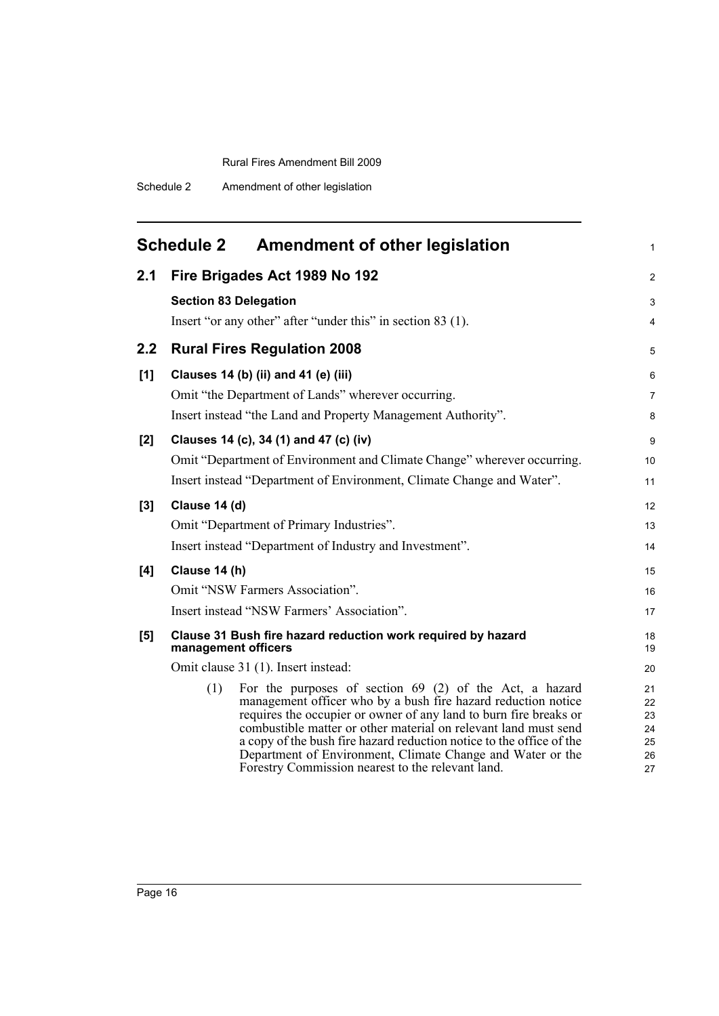<span id="page-21-0"></span>

| <b>Schedule 2</b><br><b>Amendment of other legislation</b> |                                                                                                                                                                                                                                                                                                                                                                                                                                                                      |                                        |  |  |
|------------------------------------------------------------|----------------------------------------------------------------------------------------------------------------------------------------------------------------------------------------------------------------------------------------------------------------------------------------------------------------------------------------------------------------------------------------------------------------------------------------------------------------------|----------------------------------------|--|--|
| 2.1                                                        | Fire Brigades Act 1989 No 192                                                                                                                                                                                                                                                                                                                                                                                                                                        | 2                                      |  |  |
|                                                            | <b>Section 83 Delegation</b>                                                                                                                                                                                                                                                                                                                                                                                                                                         | 3                                      |  |  |
|                                                            | Insert "or any other" after "under this" in section 83 (1).                                                                                                                                                                                                                                                                                                                                                                                                          | $\overline{4}$                         |  |  |
| 2.2                                                        | <b>Rural Fires Regulation 2008</b>                                                                                                                                                                                                                                                                                                                                                                                                                                   |                                        |  |  |
| [1]                                                        | Clauses 14 (b) (ii) and 41 (e) (iii)                                                                                                                                                                                                                                                                                                                                                                                                                                 | 6                                      |  |  |
|                                                            | Omit "the Department of Lands" wherever occurring.                                                                                                                                                                                                                                                                                                                                                                                                                   | $\overline{7}$                         |  |  |
|                                                            | Insert instead "the Land and Property Management Authority".                                                                                                                                                                                                                                                                                                                                                                                                         | 8                                      |  |  |
| [2]                                                        | Clauses 14 (c), 34 (1) and 47 (c) (iv)                                                                                                                                                                                                                                                                                                                                                                                                                               | 9                                      |  |  |
|                                                            | Omit "Department of Environment and Climate Change" wherever occurring.                                                                                                                                                                                                                                                                                                                                                                                              | 10                                     |  |  |
|                                                            | Insert instead "Department of Environment, Climate Change and Water".                                                                                                                                                                                                                                                                                                                                                                                                | 11                                     |  |  |
| [3]                                                        | Clause 14 (d)                                                                                                                                                                                                                                                                                                                                                                                                                                                        |                                        |  |  |
|                                                            | Omit "Department of Primary Industries".                                                                                                                                                                                                                                                                                                                                                                                                                             | 13                                     |  |  |
|                                                            | Insert instead "Department of Industry and Investment".                                                                                                                                                                                                                                                                                                                                                                                                              | 14                                     |  |  |
| [4]                                                        | Clause 14 (h)                                                                                                                                                                                                                                                                                                                                                                                                                                                        |                                        |  |  |
|                                                            | Omit "NSW Farmers Association".                                                                                                                                                                                                                                                                                                                                                                                                                                      |                                        |  |  |
|                                                            | Insert instead "NSW Farmers' Association".                                                                                                                                                                                                                                                                                                                                                                                                                           | 17                                     |  |  |
| [5]                                                        | Clause 31 Bush fire hazard reduction work required by hazard<br>management officers                                                                                                                                                                                                                                                                                                                                                                                  |                                        |  |  |
|                                                            | Omit clause 31 (1). Insert instead:                                                                                                                                                                                                                                                                                                                                                                                                                                  | 20                                     |  |  |
|                                                            | For the purposes of section $69$ (2) of the Act, a hazard<br>(1)<br>management officer who by a bush fire hazard reduction notice<br>requires the occupier or owner of any land to burn fire breaks or<br>combustible matter or other material on relevant land must send<br>a copy of the bush fire hazard reduction notice to the office of the<br>Department of Environment, Climate Change and Water or the<br>Forestry Commission nearest to the relevant land. | 21<br>22<br>23<br>24<br>25<br>26<br>27 |  |  |